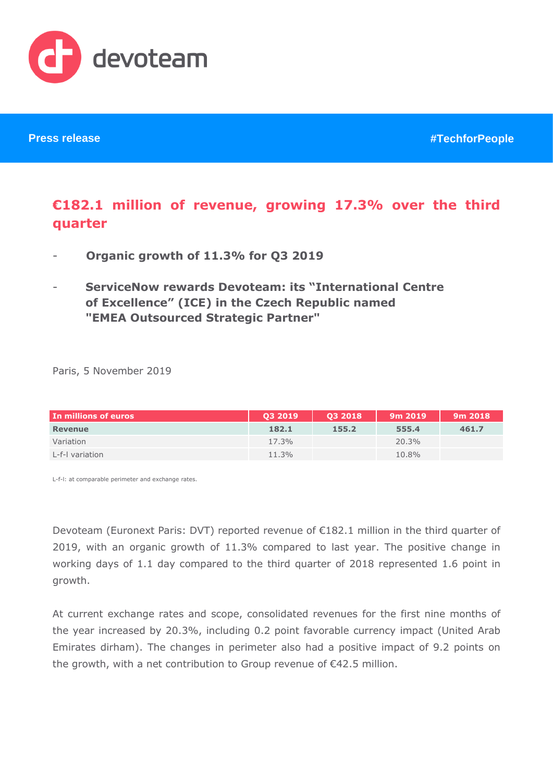

# **€182.1 million of revenue, growing 17.3% over the third quarter**

- **Organic growth of 11.3% for Q3 2019**
- **ServiceNow rewards Devoteam: its "International Centre of Excellence" (ICE) in the Czech Republic named "EMEA Outsourced Strategic Partner"**

Paris, 5 November 2019

| In millions of euros | 03 2019 | 03 2018 | 9m 2019 | 9m 2018 |
|----------------------|---------|---------|---------|---------|
| Revenue              | 182.1   | 155.2   | 555.4   | 461.7   |
| Variation            | 17.3%   |         | 20.3%   |         |
| L-f-I variation      | 11.3%   |         | 10.8%   |         |

L-f-l: at comparable perimeter and exchange rates.

Devoteam (Euronext Paris: DVT) reported revenue of €182.1 million in the third quarter of 2019, with an organic growth of 11.3% compared to last year. The positive change in working days of 1.1 day compared to the third quarter of 2018 represented 1.6 point in growth.

At current exchange rates and scope, consolidated revenues for the first nine months of the year increased by 20.3%, including 0.2 point favorable currency impact (United Arab Emirates dirham). The changes in perimeter also had a positive impact of 9.2 points on the growth, with a net contribution to Group revenue of €42.5 million.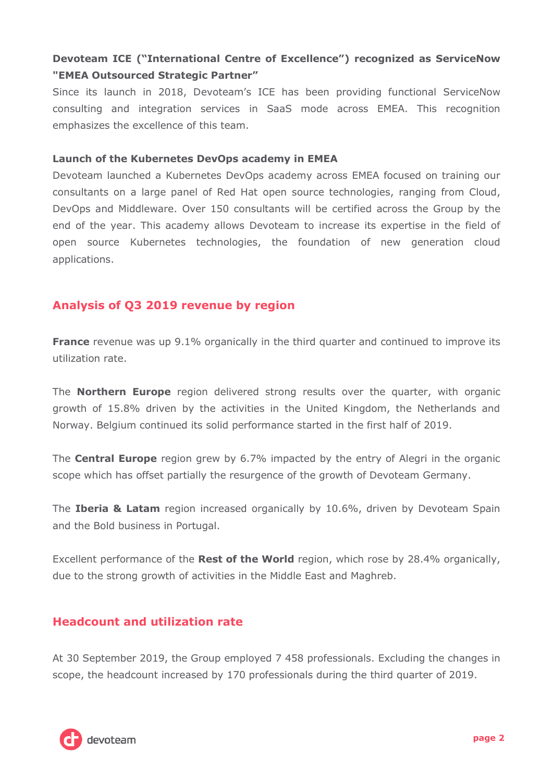# **Devoteam ICE ("International Centre of Excellence") recognized as ServiceNow "EMEA Outsourced Strategic Partner"**

Since its launch in 2018, Devoteam's ICE has been providing functional ServiceNow consulting and integration services in SaaS mode across EMEA. This recognition emphasizes the excellence of this team.

### **Launch of the Kubernetes DevOps academy in EMEA**

Devoteam launched a Kubernetes DevOps academy across EMEA focused on training our consultants on a large panel of Red Hat open source technologies, ranging from Cloud, DevOps and Middleware. Over 150 consultants will be certified across the Group by the end of the year. This academy allows Devoteam to increase its expertise in the field of open source Kubernetes technologies, the foundation of new generation cloud applications.

## **Analysis of Q3 2019 revenue by region**

**France** revenue was up 9.1% organically in the third quarter and continued to improve its utilization rate.

The **Northern Europe** region delivered strong results over the quarter, with organic growth of 15.8% driven by the activities in the United Kingdom, the Netherlands and Norway. Belgium continued its solid performance started in the first half of 2019.

The **Central Europe** region grew by 6.7% impacted by the entry of Alegri in the organic scope which has offset partially the resurgence of the growth of Devoteam Germany.

The **Iberia & Latam** region increased organically by 10.6%, driven by Devoteam Spain and the Bold business in Portugal.

Excellent performance of the **Rest of the World** region, which rose by 28.4% organically, due to the strong growth of activities in the Middle East and Maghreb.

## **Headcount and utilization rate**

At 30 September 2019, the Group employed 7 458 professionals. Excluding the changes in scope, the headcount increased by 170 professionals during the third quarter of 2019.

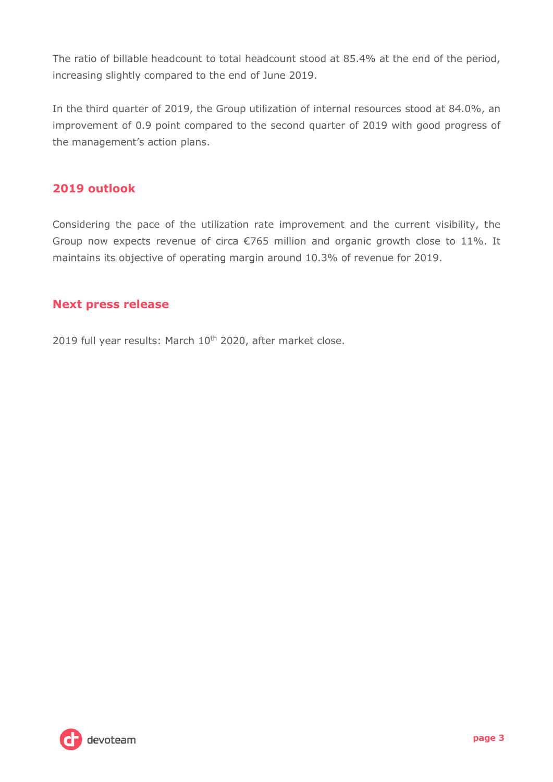The ratio of billable headcount to total headcount stood at 85.4% at the end of the period, increasing slightly compared to the end of June 2019.

In the third quarter of 2019, the Group utilization of internal resources stood at 84.0%, an improvement of 0.9 point compared to the second quarter of 2019 with good progress of the management's action plans.

# **2019 outlook**

Considering the pace of the utilization rate improvement and the current visibility, the Group now expects revenue of circa €765 million and organic growth close to 11%. It maintains its objective of operating margin around 10.3% of revenue for 2019.

## **Next press release**

2019 full year results: March 10<sup>th</sup> 2020, after market close.

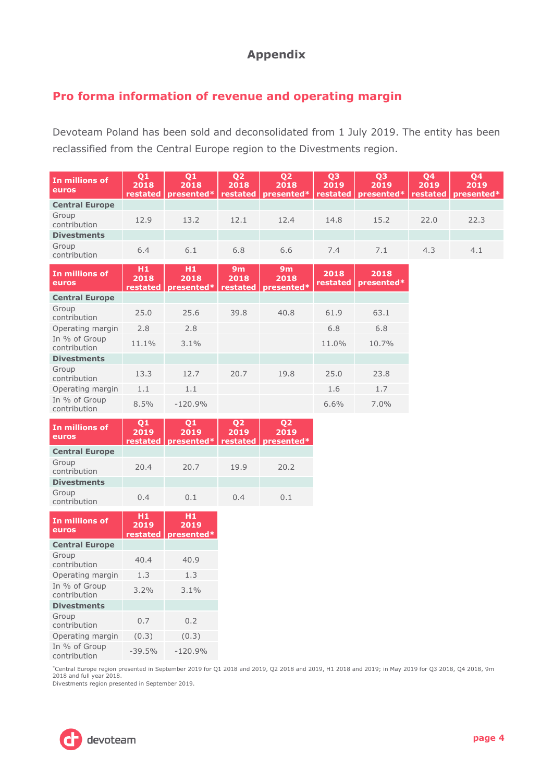## **Appendix**

## **Pro forma information of revenue and operating margin**

Devoteam Poland has been sold and deconsolidated from 1 July 2019. The entity has been reclassified from the Central Europe region to the Divestments region.

| In millions of<br>euros       | Q <sub>1</sub><br>2018<br>restated | Q <sub>1</sub><br>2018<br>presented* | Q <sub>2</sub><br>2018<br>restated | Q <sub>2</sub><br>2018<br>presented* | Q <sub>3</sub><br>2019<br>restated | Q <sub>3</sub><br>2019<br>presented* | Q <sub>4</sub><br>2019<br>restated | Q <sub>4</sub><br>2019<br>presented* |
|-------------------------------|------------------------------------|--------------------------------------|------------------------------------|--------------------------------------|------------------------------------|--------------------------------------|------------------------------------|--------------------------------------|
| <b>Central Europe</b>         |                                    |                                      |                                    |                                      |                                    |                                      |                                    |                                      |
| Group<br>contribution         | 12.9                               | 13.2                                 | 12.1                               | 12.4                                 | 14.8                               | 15.2                                 | 22.0                               | 22.3                                 |
| <b>Divestments</b>            |                                    |                                      |                                    |                                      |                                    |                                      |                                    |                                      |
| Group<br>contribution         | 6.4                                | 6.1                                  | 6.8                                | 6.6                                  | 7.4                                | 7.1                                  | 4.3                                | 4.1                                  |
| In millions of<br>euros       | H1<br>2018<br>restated             | H1<br>2018<br>presented*             | 9m<br>2018<br>restated             | 9m<br>2018<br>presented*             | 2018<br>restated                   | 2018<br>presented*                   |                                    |                                      |
| <b>Central Europe</b>         |                                    |                                      |                                    |                                      |                                    |                                      |                                    |                                      |
| Group<br>contribution         | 25.0                               | 25.6                                 | 39.8                               | 40.8                                 | 61.9                               | 63.1                                 |                                    |                                      |
| Operating margin              | 2.8                                | 2.8                                  |                                    |                                      | 6.8                                | 6.8                                  |                                    |                                      |
| In % of Group<br>contribution | 11.1%                              | 3.1%                                 |                                    |                                      | 11.0%                              | 10.7%                                |                                    |                                      |
| <b>Divestments</b>            |                                    |                                      |                                    |                                      |                                    |                                      |                                    |                                      |
| Group<br>contribution         | 13.3                               | 12.7                                 | 20.7                               | 19.8                                 | 25.0                               | 23.8                                 |                                    |                                      |
| Operating margin              | 1.1                                | 1.1                                  |                                    |                                      | 1.6                                | 1.7                                  |                                    |                                      |
| In % of Group<br>contribution | 8.5%                               | $-120.9%$                            |                                    |                                      | 6.6%                               | 7.0%                                 |                                    |                                      |
| In millions of<br>euros       | Q <sub>1</sub><br>2019<br>restated | Q <sub>1</sub><br>2019<br>presented* | Q <sub>2</sub><br>2019<br>restated | Q <sub>2</sub><br>2019<br>presented* |                                    |                                      |                                    |                                      |
| <b>Central Europe</b>         |                                    |                                      |                                    |                                      |                                    |                                      |                                    |                                      |
| Group<br>contribution         | 20.4                               | 20.7                                 | 19.9                               | 20.2                                 |                                    |                                      |                                    |                                      |
| <b>Divestments</b>            |                                    |                                      |                                    |                                      |                                    |                                      |                                    |                                      |
| Group<br>contribution         | 0.4                                | 0.1                                  | 0.4                                | 0.1                                  |                                    |                                      |                                    |                                      |
| In millions of<br>euros       | H <sub>1</sub><br>2019<br>restated | H <sub>1</sub><br>2019<br>presented* |                                    |                                      |                                    |                                      |                                    |                                      |
| <b>Central Europe</b>         |                                    |                                      |                                    |                                      |                                    |                                      |                                    |                                      |
| Group<br>contribution         | 40.4                               | 40.9                                 |                                    |                                      |                                    |                                      |                                    |                                      |
| Operating margin              | 1.3                                | 1.3                                  |                                    |                                      |                                    |                                      |                                    |                                      |
| In % of Group<br>contribution | 3.2%                               | 3.1%                                 |                                    |                                      |                                    |                                      |                                    |                                      |
| <b>Divestments</b>            |                                    |                                      |                                    |                                      |                                    |                                      |                                    |                                      |
| Group<br>contribution         | 0.7                                | 0.2                                  |                                    |                                      |                                    |                                      |                                    |                                      |
| Operating margin              | (0.3)                              | (0.3)                                |                                    |                                      |                                    |                                      |                                    |                                      |

\*Central Europe region presented in September 2019 for Q1 2018 and 2019, Q2 2018 and 2019, H1 2018 and 2019; in May 2019 for Q3 2018, Q4 2018, 9m 2018 and full year 2018.

Divestments region presented in September 2019.

contribution -39.5% -120.9%



In % of Group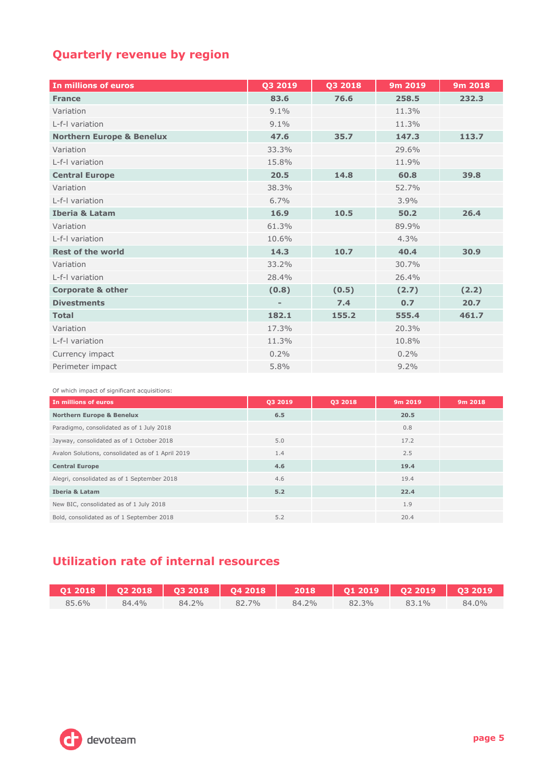# **Quarterly revenue by region**

| In millions of euros                 | Q3 2019                  | Q3 2018 | 9m 2019 | 9m 2018 |
|--------------------------------------|--------------------------|---------|---------|---------|
| <b>France</b>                        | 83.6                     | 76.6    | 258.5   | 232.3   |
| Variation                            | 9.1%                     |         | 11.3%   |         |
| L-f-I variation                      | 9.1%                     |         | 11.3%   |         |
| <b>Northern Europe &amp; Benelux</b> | 47.6                     | 35.7    | 147.3   | 113.7   |
| Variation                            | 33.3%                    |         | 29.6%   |         |
| L-f-I variation                      | 15.8%                    |         | 11.9%   |         |
| <b>Central Europe</b>                | 20.5                     | 14.8    | 60.8    | 39.8    |
| Variation                            | 38.3%                    |         | 52.7%   |         |
| L-f-I variation                      | 6.7%                     |         | 3.9%    |         |
| <b>Iberia &amp; Latam</b>            | 16.9                     | 10.5    | 50.2    | 26.4    |
| Variation                            | 61.3%                    |         | 89.9%   |         |
| L-f-I variation                      | 10.6%                    |         | 4.3%    |         |
| <b>Rest of the world</b>             | 14.3                     | 10.7    | 40.4    | 30.9    |
| Variation                            | 33.2%                    |         | 30.7%   |         |
| L-f-I variation                      | 28.4%                    |         | 26.4%   |         |
| <b>Corporate &amp; other</b>         | (0.8)                    | (0.5)   | (2.7)   | (2.2)   |
| <b>Divestments</b>                   | $\overline{\phantom{0}}$ | 7.4     | 0.7     | 20.7    |
| <b>Total</b>                         | 182.1                    | 155.2   | 555.4   | 461.7   |
| Variation                            | 17.3%                    |         | 20.3%   |         |
| L-f-I variation                      | 11.3%                    |         | 10.8%   |         |
| Currency impact                      | 0.2%                     |         | 0.2%    |         |
| Perimeter impact                     | 5.8%                     |         | 9.2%    |         |

Of which impact of significant acquisitions:

| In millions of euros                              | 03 2019 | 03 2018 | 9m 2019 | 9m 2018 |
|---------------------------------------------------|---------|---------|---------|---------|
| <b>Northern Europe &amp; Benelux</b>              | 6.5     |         | 20.5    |         |
| Paradigmo, consolidated as of 1 July 2018         |         |         | 0.8     |         |
| Jayway, consolidated as of 1 October 2018         | 5.0     |         | 17.2    |         |
| Avalon Solutions, consolidated as of 1 April 2019 | 1.4     |         | 2.5     |         |
| <b>Central Europe</b>                             | 4.6     |         | 19.4    |         |
| Alegri, consolidated as of 1 September 2018       | 4.6     |         | 19.4    |         |
| <b>Iberia &amp; Latam</b>                         | 5.2     |         | 22.4    |         |
| New BIC, consolidated as of 1 July 2018           |         |         | 1.9     |         |
| Bold, consolidated as of 1 September 2018         | 5.2     |         | 20.4    |         |

# **Utilization rate of internal resources**

|       |       |       |       |       | Q1 2018   Q2 2018   Q3 2018   Q4 2018   2018   Q1 2019   Q2 2019   Q3 2019 |       |          |
|-------|-------|-------|-------|-------|----------------------------------------------------------------------------|-------|----------|
| 85.6% | 84.4% | 84.2% | 82.7% | 84.2% | 82.3%                                                                      | 83.1% | $84.0\%$ |

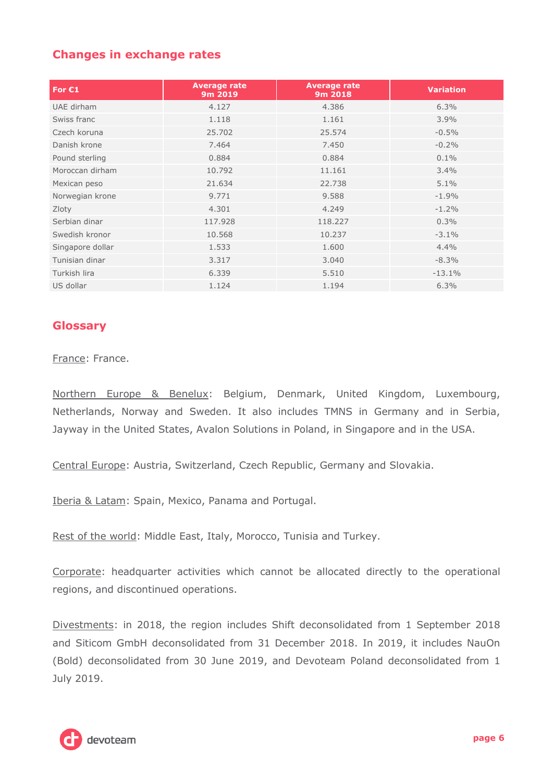## **Changes in exchange rates**

| For $C1$         | <b>Average rate</b><br>9m 2019 | <b>Average rate</b><br>9m 2018 | <b>Variation</b> |
|------------------|--------------------------------|--------------------------------|------------------|
| UAE dirham       | 4.127                          | 4.386                          | 6.3%             |
| Swiss franc      | 1.118                          | 1.161                          | 3.9%             |
| Czech koruna     | 25.702                         | 25.574                         | $-0.5%$          |
| Danish krone     | 7.464                          | 7.450                          | $-0.2%$          |
| Pound sterling   | 0.884                          | 0.884                          | $0.1\%$          |
| Moroccan dirham  | 10.792                         | 11.161                         | 3.4%             |
| Mexican peso     | 21.634                         | 22.738                         | 5.1%             |
| Norwegian krone  | 9.771                          | 9.588                          | $-1.9%$          |
| Zloty            | 4.301                          | 4.249                          | $-1.2%$          |
| Serbian dinar    | 117.928                        | 118,227                        | 0.3%             |
| Swedish kronor   | 10.568                         | 10.237                         | $-3.1%$          |
| Singapore dollar | 1.533                          | 1.600                          | 4.4%             |
| Tunisian dinar   | 3.317                          | 3.040                          | $-8.3%$          |
| Turkish lira     | 6.339                          | 5.510                          | $-13.1%$         |
| US dollar        | 1.124                          | 1.194                          | 6.3%             |

### **Glossary**

France: France.

Northern Europe & Benelux: Belgium, Denmark, United Kingdom, Luxembourg, Netherlands, Norway and Sweden. It also includes TMNS in Germany and in Serbia, Jayway in the United States, Avalon Solutions in Poland, in Singapore and in the USA.

Central Europe: Austria, Switzerland, Czech Republic, Germany and Slovakia.

Iberia & Latam: Spain, Mexico, Panama and Portugal.

Rest of the world: Middle East, Italy, Morocco, Tunisia and Turkey.

Corporate: headquarter activities which cannot be allocated directly to the operational regions, and discontinued operations.

Divestments: in 2018, the region includes Shift deconsolidated from 1 September 2018 and Siticom GmbH deconsolidated from 31 December 2018. In 2019, it includes NauOn (Bold) deconsolidated from 30 June 2019, and Devoteam Poland deconsolidated from 1 July 2019.

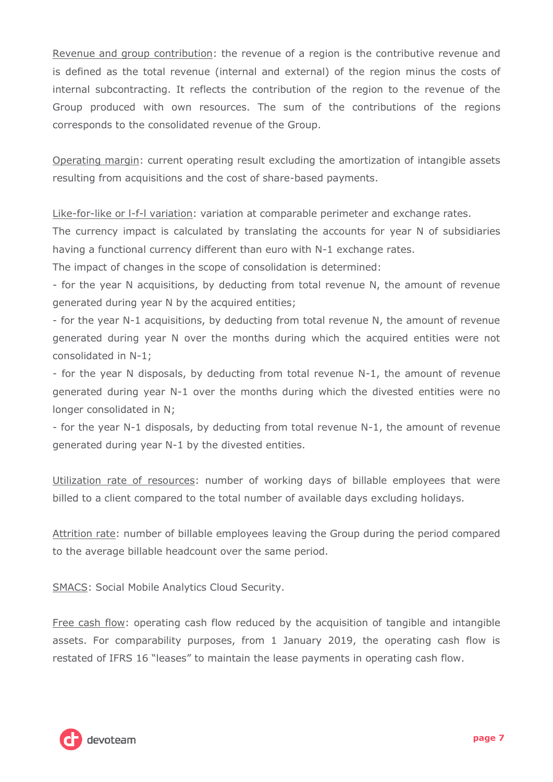Revenue and group contribution: the revenue of a region is the contributive revenue and is defined as the total revenue (internal and external) of the region minus the costs of internal subcontracting. It reflects the contribution of the region to the revenue of the Group produced with own resources. The sum of the contributions of the regions corresponds to the consolidated revenue of the Group.

Operating margin: current operating result excluding the amortization of intangible assets resulting from acquisitions and the cost of share-based payments.

Like-for-like or l-f-l variation: variation at comparable perimeter and exchange rates.

The currency impact is calculated by translating the accounts for year N of subsidiaries having a functional currency different than euro with N-1 exchange rates.

The impact of changes in the scope of consolidation is determined:

- for the year N acquisitions, by deducting from total revenue N, the amount of revenue generated during year N by the acquired entities;

- for the year N-1 acquisitions, by deducting from total revenue N, the amount of revenue generated during year N over the months during which the acquired entities were not consolidated in N-1;

- for the year N disposals, by deducting from total revenue N-1, the amount of revenue generated during year N-1 over the months during which the divested entities were no longer consolidated in N;

- for the year N-1 disposals, by deducting from total revenue N-1, the amount of revenue generated during year N-1 by the divested entities.

Utilization rate of resources: number of working days of billable employees that were billed to a client compared to the total number of available days excluding holidays.

Attrition rate: number of billable employees leaving the Group during the period compared to the average billable headcount over the same period.

SMACS: Social Mobile Analytics Cloud Security.

Free cash flow: operating cash flow reduced by the acquisition of tangible and intangible assets. For comparability purposes, from 1 January 2019, the operating cash flow is restated of IFRS 16 "leases" to maintain the lease payments in operating cash flow.

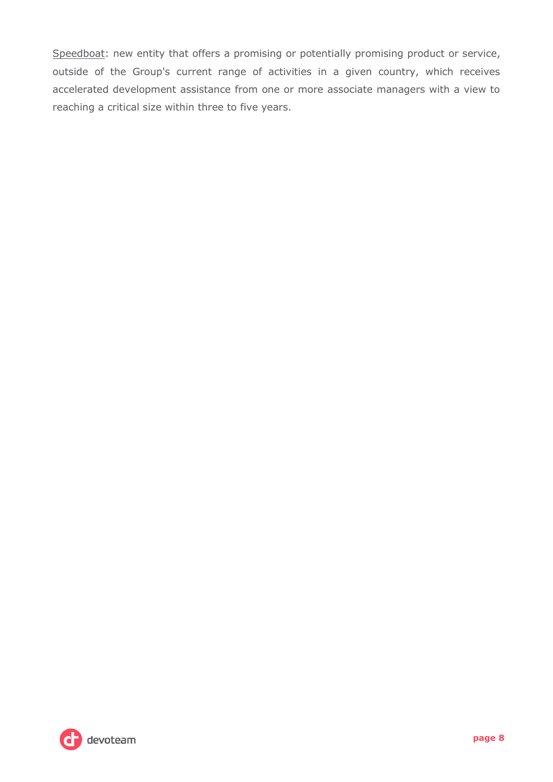Speedboat: new entity that offers a promising or potentially promising product or service, outside of the Group's current range of activities in a given country, which receives accelerated development assistance from one or more associate managers with a view to reaching a critical size within three to five years.